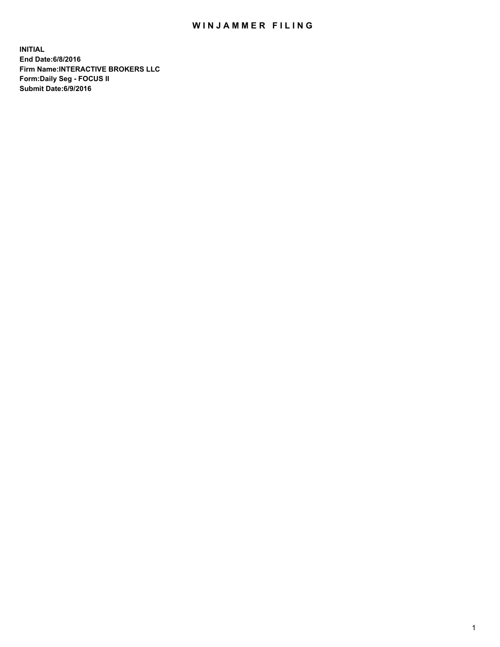## WIN JAMMER FILING

**INITIAL End Date:6/8/2016 Firm Name:INTERACTIVE BROKERS LLC Form:Daily Seg - FOCUS II Submit Date:6/9/2016**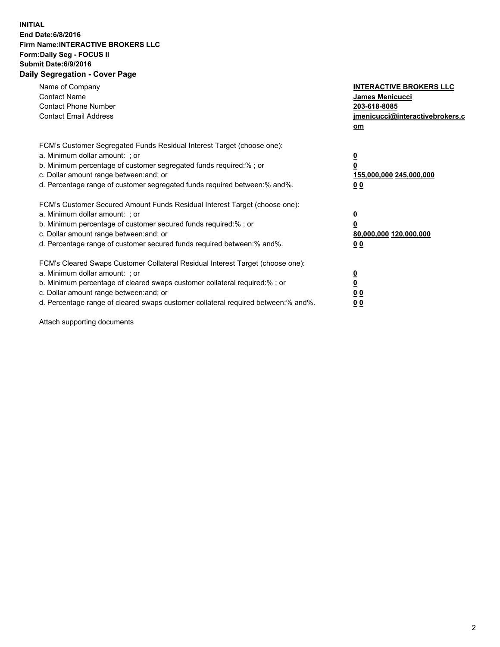## **INITIAL End Date:6/8/2016 Firm Name:INTERACTIVE BROKERS LLC Form:Daily Seg - FOCUS II Submit Date:6/9/2016 Daily Segregation - Cover Page**

| Name of Company<br><b>Contact Name</b><br><b>Contact Phone Number</b><br><b>Contact Email Address</b>                                                                                                                                                                                                                          | <b>INTERACTIVE BROKERS LLC</b><br>James Menicucci<br>203-618-8085<br>jmenicucci@interactivebrokers.c<br>om |
|--------------------------------------------------------------------------------------------------------------------------------------------------------------------------------------------------------------------------------------------------------------------------------------------------------------------------------|------------------------------------------------------------------------------------------------------------|
| FCM's Customer Segregated Funds Residual Interest Target (choose one):<br>a. Minimum dollar amount: ; or<br>b. Minimum percentage of customer segregated funds required:%; or<br>c. Dollar amount range between: and; or<br>d. Percentage range of customer segregated funds required between:% and%.                          | $\overline{\mathbf{0}}$<br>$\overline{\mathbf{0}}$<br>155,000,000 245,000,000<br>00                        |
| FCM's Customer Secured Amount Funds Residual Interest Target (choose one):<br>a. Minimum dollar amount: ; or<br>b. Minimum percentage of customer secured funds required:%; or<br>c. Dollar amount range between: and; or<br>d. Percentage range of customer secured funds required between: % and %.                          | $\overline{\mathbf{0}}$<br>$\mathbf 0$<br>80,000,000 120,000,000<br>00                                     |
| FCM's Cleared Swaps Customer Collateral Residual Interest Target (choose one):<br>a. Minimum dollar amount: ; or<br>b. Minimum percentage of cleared swaps customer collateral required:% ; or<br>c. Dollar amount range between: and; or<br>d. Percentage range of cleared swaps customer collateral required between:% and%. | $\overline{\mathbf{0}}$<br>$\underline{\mathbf{0}}$<br>0 <sub>0</sub><br>0 <sub>0</sub>                    |

Attach supporting documents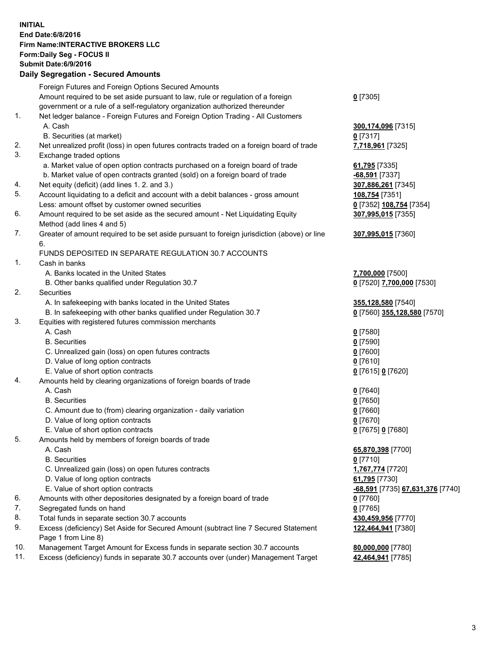## **INITIAL End Date:6/8/2016 Firm Name:INTERACTIVE BROKERS LLC Form:Daily Seg - FOCUS II Submit Date:6/9/2016 Daily Segregation - Secured Amounts**

|     | Foreign Futures and Foreign Options Secured Amounts                                         |                                        |
|-----|---------------------------------------------------------------------------------------------|----------------------------------------|
|     | Amount required to be set aside pursuant to law, rule or regulation of a foreign            | $0$ [7305]                             |
|     | government or a rule of a self-regulatory organization authorized thereunder                |                                        |
| 1.  | Net ledger balance - Foreign Futures and Foreign Option Trading - All Customers             |                                        |
|     | A. Cash                                                                                     | 300,174,096 [7315]                     |
|     | B. Securities (at market)                                                                   | $0$ [7317]                             |
| 2.  | Net unrealized profit (loss) in open futures contracts traded on a foreign board of trade   | 7,718,961 [7325]                       |
| 3.  | Exchange traded options                                                                     |                                        |
|     | a. Market value of open option contracts purchased on a foreign board of trade              | 61,795 [7335]                          |
|     | b. Market value of open contracts granted (sold) on a foreign board of trade                | -68,591 [7337]                         |
| 4.  | Net equity (deficit) (add lines 1. 2. and 3.)                                               | 307,886,261 [7345]                     |
| 5.  | Account liquidating to a deficit and account with a debit balances - gross amount           | 108,754 [7351]                         |
|     | Less: amount offset by customer owned securities                                            | 0 [7352] 108,754 [7354]                |
| 6.  | Amount required to be set aside as the secured amount - Net Liquidating Equity              | 307,995,015 [7355]                     |
|     | Method (add lines 4 and 5)                                                                  |                                        |
| 7.  | Greater of amount required to be set aside pursuant to foreign jurisdiction (above) or line | 307,995,015 [7360]                     |
|     | 6.                                                                                          |                                        |
|     | FUNDS DEPOSITED IN SEPARATE REGULATION 30.7 ACCOUNTS                                        |                                        |
| 1.  | Cash in banks                                                                               |                                        |
|     | A. Banks located in the United States                                                       | 7,700,000 [7500]                       |
|     | B. Other banks qualified under Regulation 30.7                                              | 0 [7520] 7,700,000 [7530]              |
| 2.  | Securities                                                                                  |                                        |
|     | A. In safekeeping with banks located in the United States                                   | 355,128,580 [7540]                     |
|     | B. In safekeeping with other banks qualified under Regulation 30.7                          | 0 [7560] 355,128,580 [7570]            |
| 3.  | Equities with registered futures commission merchants                                       |                                        |
|     | A. Cash                                                                                     | $0$ [7580]                             |
|     | <b>B.</b> Securities                                                                        | $0$ [7590]                             |
|     | C. Unrealized gain (loss) on open futures contracts                                         | $0$ [7600]                             |
|     | D. Value of long option contracts                                                           | $0$ [7610]                             |
|     | E. Value of short option contracts                                                          | 0 [7615] 0 [7620]                      |
| 4.  | Amounts held by clearing organizations of foreign boards of trade                           |                                        |
|     | A. Cash                                                                                     | $0$ [7640]                             |
|     | <b>B.</b> Securities                                                                        | $0$ [7650]                             |
|     | C. Amount due to (from) clearing organization - daily variation                             | $0$ [7660]                             |
|     | D. Value of long option contracts                                                           | $0$ [7670]                             |
|     | E. Value of short option contracts                                                          | 0 [7675] 0 [7680]                      |
| 5.  | Amounts held by members of foreign boards of trade                                          |                                        |
|     | A. Cash                                                                                     | 65,870,398 [7700]                      |
|     | <b>B.</b> Securities                                                                        | $0$ [7710]                             |
|     | C. Unrealized gain (loss) on open futures contracts                                         | 1,767,774 [7720]                       |
|     | D. Value of long option contracts                                                           | 61,795 [7730]                          |
|     | E. Value of short option contracts                                                          | -68,591 [7735] 67,631,376 [7740]       |
| 6.  | Amounts with other depositories designated by a foreign board of trade                      | $0$ [7760]                             |
| 7.  | Segregated funds on hand                                                                    | $0$ [7765]                             |
| 8.  | Total funds in separate section 30.7 accounts                                               | 430,459,956 [7770]                     |
| 9.  | Excess (deficiency) Set Aside for Secured Amount (subtract line 7 Secured Statement         | 122,464,941 [7380]                     |
|     | Page 1 from Line 8)                                                                         |                                        |
| 10. | Management Target Amount for Excess funds in separate section 30.7 accounts                 |                                        |
| 11. | Excess (deficiency) funds in separate 30.7 accounts over (under) Management Target          | 80,000,000 [7780]<br>42,464,941 [7785] |
|     |                                                                                             |                                        |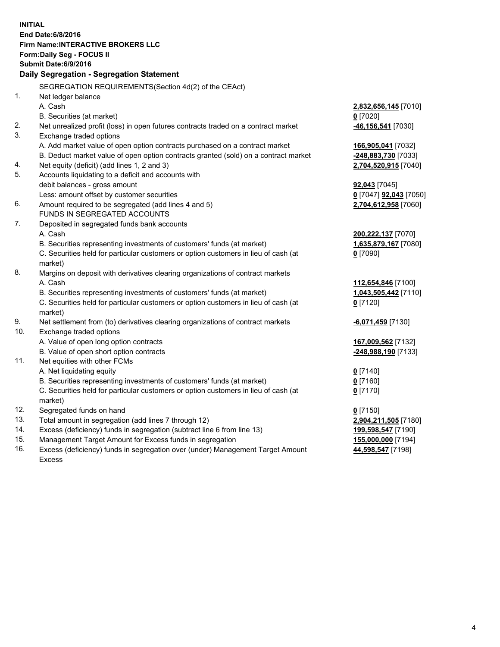**INITIAL End Date:6/8/2016 Firm Name:INTERACTIVE BROKERS LLC Form:Daily Seg - FOCUS II Submit Date:6/9/2016 Daily Segregation - Segregation Statement** SEGREGATION REQUIREMENTS(Section 4d(2) of the CEAct) 1. Net ledger balance A. Cash **2,832,656,145** [7010] B. Securities (at market) **0** [7020] 2. Net unrealized profit (loss) in open futures contracts traded on a contract market **-46,156,541** [7030] 3. Exchange traded options A. Add market value of open option contracts purchased on a contract market **166,905,041** [7032] B. Deduct market value of open option contracts granted (sold) on a contract market **-248,883,730** [7033] 4. Net equity (deficit) (add lines 1, 2 and 3) **2,704,520,915** [7040] 5. Accounts liquidating to a deficit and accounts with debit balances - gross amount **92,043** [7045] Less: amount offset by customer securities **0** [7047] **92,043** [7050] 6. Amount required to be segregated (add lines 4 and 5) **2,704,612,958** [7060] FUNDS IN SEGREGATED ACCOUNTS 7. Deposited in segregated funds bank accounts A. Cash **200,222,137** [7070] B. Securities representing investments of customers' funds (at market) **1,635,879,167** [7080] C. Securities held for particular customers or option customers in lieu of cash (at market) **0** [7090] 8. Margins on deposit with derivatives clearing organizations of contract markets A. Cash **112,654,846** [7100] B. Securities representing investments of customers' funds (at market) **1,043,505,442** [7110] C. Securities held for particular customers or option customers in lieu of cash (at market) **0** [7120] 9. Net settlement from (to) derivatives clearing organizations of contract markets **-6,071,459** [7130] 10. Exchange traded options A. Value of open long option contracts **167,009,562** [7132] B. Value of open short option contracts **-248,988,190** [7133] 11. Net equities with other FCMs A. Net liquidating equity **0** [7140] B. Securities representing investments of customers' funds (at market) **0** [7160] C. Securities held for particular customers or option customers in lieu of cash (at market) **0** [7170] 12. Segregated funds on hand **0** [7150] 13. Total amount in segregation (add lines 7 through 12) **2,904,211,505** [7180] 14. Excess (deficiency) funds in segregation (subtract line 6 from line 13) **199,598,547** [7190] 15. Management Target Amount for Excess funds in segregation **155,000,000** [7194] 16. Excess (deficiency) funds in segregation over (under) Management Target Amount **44,598,547** [7198]

Excess